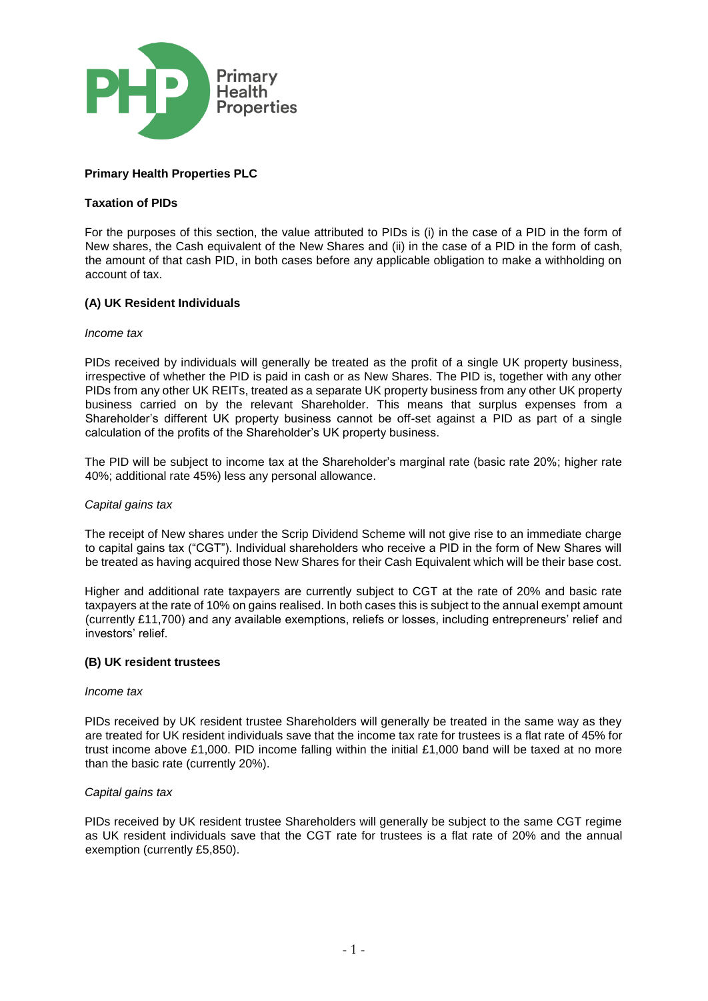

# **Primary Health Properties PLC**

# **Taxation of PIDs**

For the purposes of this section, the value attributed to PIDs is (i) in the case of a PID in the form of New shares, the Cash equivalent of the New Shares and (ii) in the case of a PID in the form of cash, the amount of that cash PID, in both cases before any applicable obligation to make a withholding on account of tax.

# **(A) UK Resident Individuals**

### *Income tax*

PIDs received by individuals will generally be treated as the profit of a single UK property business, irrespective of whether the PID is paid in cash or as New Shares. The PID is, together with any other PIDs from any other UK REITs, treated as a separate UK property business from any other UK property business carried on by the relevant Shareholder. This means that surplus expenses from a Shareholder's different UK property business cannot be off-set against a PID as part of a single calculation of the profits of the Shareholder's UK property business.

The PID will be subject to income tax at the Shareholder's marginal rate (basic rate 20%; higher rate 40%; additional rate 45%) less any personal allowance.

### *Capital gains tax*

The receipt of New shares under the Scrip Dividend Scheme will not give rise to an immediate charge to capital gains tax ("CGT"). Individual shareholders who receive a PID in the form of New Shares will be treated as having acquired those New Shares for their Cash Equivalent which will be their base cost.

Higher and additional rate taxpayers are currently subject to CGT at the rate of 20% and basic rate taxpayers at the rate of 10% on gains realised. In both cases this is subject to the annual exempt amount (currently £11,700) and any available exemptions, reliefs or losses, including entrepreneurs' relief and investors' relief.

### **(B) UK resident trustees**

### *Income tax*

PIDs received by UK resident trustee Shareholders will generally be treated in the same way as they are treated for UK resident individuals save that the income tax rate for trustees is a flat rate of 45% for trust income above £1,000. PID income falling within the initial £1,000 band will be taxed at no more than the basic rate (currently 20%).

### *Capital gains tax*

PIDs received by UK resident trustee Shareholders will generally be subject to the same CGT regime as UK resident individuals save that the CGT rate for trustees is a flat rate of 20% and the annual exemption (currently £5,850).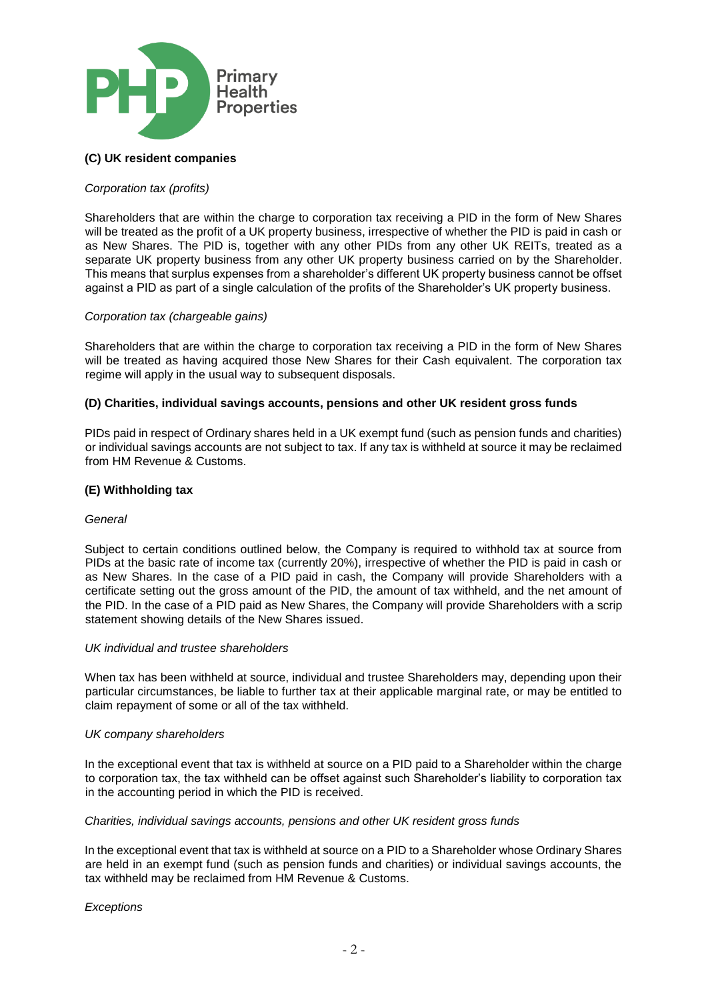

# **(C) UK resident companies**

### *Corporation tax (profits)*

Shareholders that are within the charge to corporation tax receiving a PID in the form of New Shares will be treated as the profit of a UK property business, irrespective of whether the PID is paid in cash or as New Shares. The PID is, together with any other PIDs from any other UK REITs, treated as a separate UK property business from any other UK property business carried on by the Shareholder. This means that surplus expenses from a shareholder's different UK property business cannot be offset against a PID as part of a single calculation of the profits of the Shareholder's UK property business.

### *Corporation tax (chargeable gains)*

Shareholders that are within the charge to corporation tax receiving a PID in the form of New Shares will be treated as having acquired those New Shares for their Cash equivalent. The corporation tax regime will apply in the usual way to subsequent disposals.

### **(D) Charities, individual savings accounts, pensions and other UK resident gross funds**

PIDs paid in respect of Ordinary shares held in a UK exempt fund (such as pension funds and charities) or individual savings accounts are not subject to tax. If any tax is withheld at source it may be reclaimed from HM Revenue & Customs.

### **(E) Withholding tax**

### *General*

Subject to certain conditions outlined below, the Company is required to withhold tax at source from PIDs at the basic rate of income tax (currently 20%), irrespective of whether the PID is paid in cash or as New Shares. In the case of a PID paid in cash, the Company will provide Shareholders with a certificate setting out the gross amount of the PID, the amount of tax withheld, and the net amount of the PID. In the case of a PID paid as New Shares, the Company will provide Shareholders with a scrip statement showing details of the New Shares issued.

### *UK individual and trustee shareholders*

When tax has been withheld at source, individual and trustee Shareholders may, depending upon their particular circumstances, be liable to further tax at their applicable marginal rate, or may be entitled to claim repayment of some or all of the tax withheld.

### *UK company shareholders*

In the exceptional event that tax is withheld at source on a PID paid to a Shareholder within the charge to corporation tax, the tax withheld can be offset against such Shareholder's liability to corporation tax in the accounting period in which the PID is received.

### *Charities, individual savings accounts, pensions and other UK resident gross funds*

In the exceptional event that tax is withheld at source on a PID to a Shareholder whose Ordinary Shares are held in an exempt fund (such as pension funds and charities) or individual savings accounts, the tax withheld may be reclaimed from HM Revenue & Customs.

### *Exceptions*